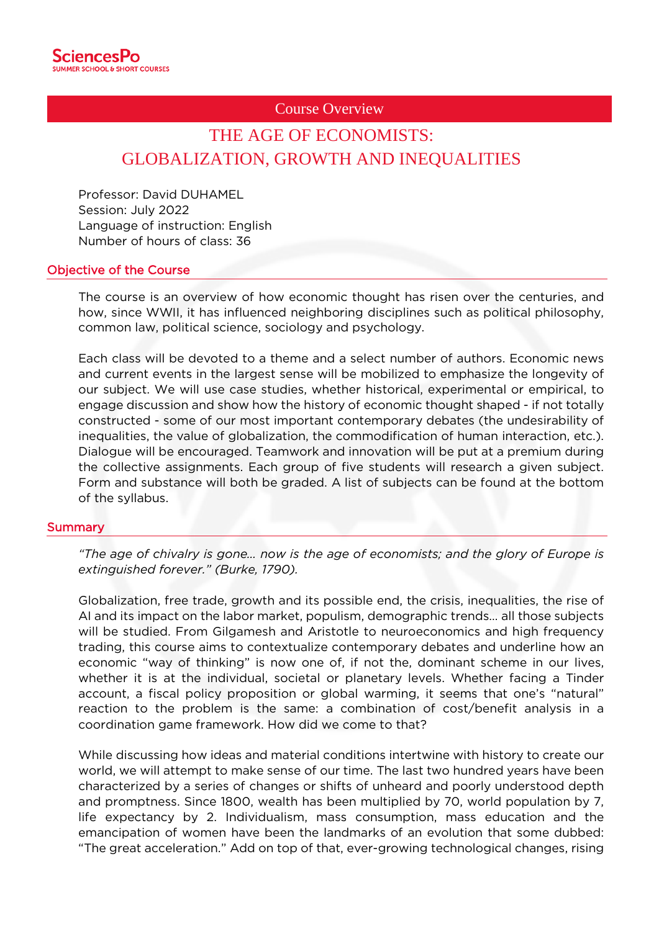## Course Overview

# THE AGE OF ECONOMISTS: GLOBALIZATION, GROWTH AND INEQUALITIES

Professor: David DUHAMEL Session: July 2022 Language of instruction: English Number of hours of class: 36

#### Objective of the Course

Ī

The course is an overview of how economic thought has risen over the centuries, and how, since WWII, it has influenced neighboring disciplines such as political philosophy, common law, political science, sociology and psychology.

Each class will be devoted to a theme and a select number of authors. Economic news and current events in the largest sense will be mobilized to emphasize the longevity of our subject. We will use case studies, whether historical, experimental or empirical, to engage discussion and show how the history of economic thought shaped - if not totally constructed - some of our most important contemporary debates (the undesirability of inequalities, the value of globalization, the commodification of human interaction, etc.). Dialogue will be encouraged. Teamwork and innovation will be put at a premium during the collective assignments. Each group of five students will research a given subject. Form and substance will both be graded. A list of subjects can be found at the bottom of the syllabus.

#### **Summary**

Ī

*"The age of chivalry is gone… now is the age of economists; and the glory of Europe is extinguished forever." (Burke, 1790).*

Globalization, free trade, growth and its possible end, the crisis, inequalities, the rise of AI and its impact on the labor market, populism, demographic trends… all those subjects will be studied. From Gilgamesh and Aristotle to neuroeconomics and high frequency trading, this course aims to contextualize contemporary debates and underline how an economic "way of thinking" is now one of, if not the, dominant scheme in our lives, whether it is at the individual, societal or planetary levels. Whether facing a Tinder account, a fiscal policy proposition or global warming, it seems that one's "natural" reaction to the problem is the same: a combination of cost/benefit analysis in a coordination game framework. How did we come to that?

While discussing how ideas and material conditions intertwine with history to create our world, we will attempt to make sense of our time. The last two hundred years have been characterized by a series of changes or shifts of unheard and poorly understood depth and promptness. Since 1800, wealth has been multiplied by 70, world population by 7, life expectancy by 2. Individualism, mass consumption, mass education and the emancipation of women have been the landmarks of an evolution that some dubbed: "The great acceleration." Add on top of that, ever-growing technological changes, rising